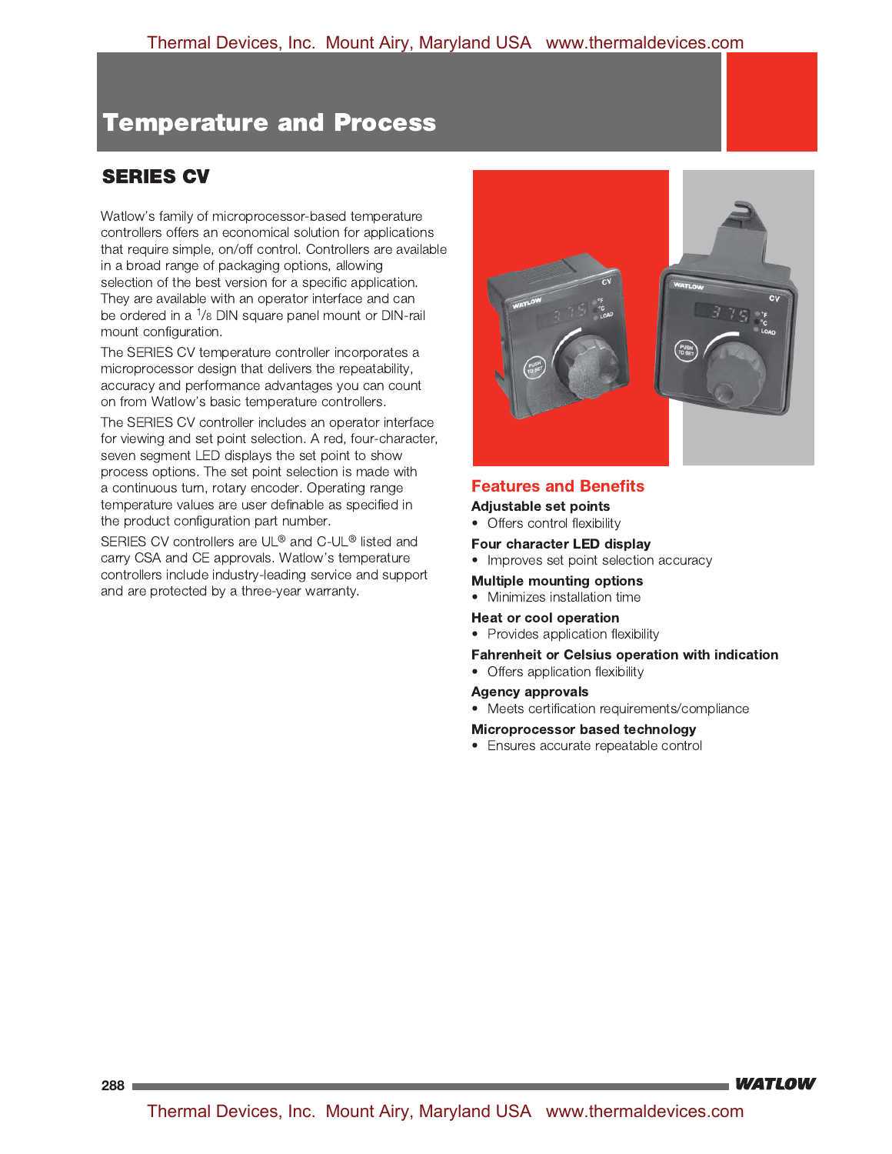# **SERIES CV**

Watlow's family of microprocessor-based temperature controllers offers an economical solution for applications that require simple, on/off control. Controllers are available in a broad range of packaging options, allowing selection of the best version for a specific application. They are available with an operator interface and can be ordered in a  $1/8$  DIN square panel mount or DIN-rail mount configuration.

The SERIES CV temperature controller incorporates a microprocessor design that delivers the repeatability, accuracy and performance advantages you can count on from Watlow's basic temperature controllers.

The SERIES CV controller includes an operator interface for viewing and set point selection. A red, four-character, seven segment LED displays the set point to show process options. The set point selection is made with a continuous turn, rotary encoder. Operating range temperature values are user definable as specified in the product configuration part number.

SERIES CV controllers are UL® and C-UL® listed and carry CSA and CE approvals. Watlow's temperature controllers include industry-leading service and support and are protected by a three-year warranty.



## **Features and Benefits**

### **Adjustable set points**

• Offers control flexibility

## Four character LED display

• Improves set point selection accuracy

#### **Multiple mounting options**

• Minimizes installation time

#### Heat or cool operation

• Provides application flexibility

#### **Fahrenheit or Celsius operation with indication**

• Offers application flexibility

#### **Agency approvals**

• Meets certification requirements/compliance

#### Microprocessor based technology

• Ensures accurate repeatable control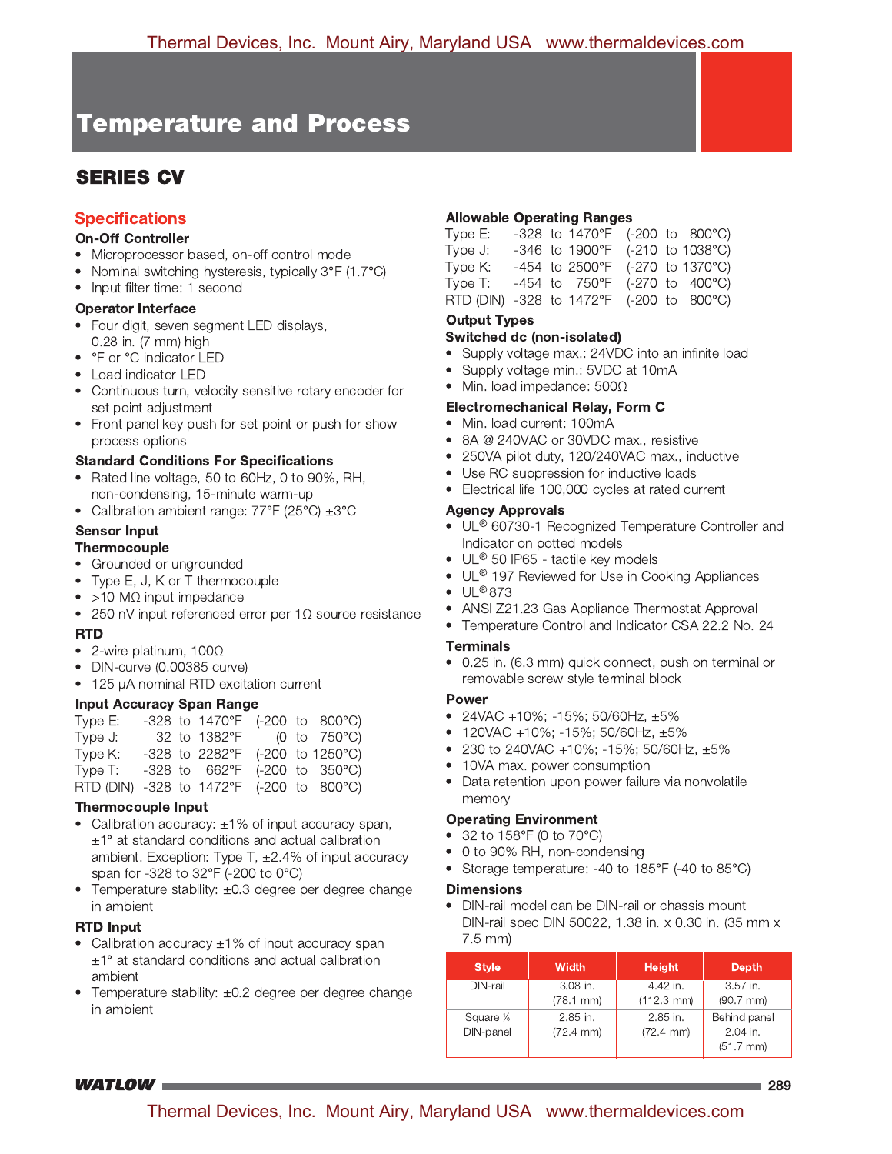# **SERIES CV**

# **Specifications**

### **On-Off Controller**

- Microprocessor based, on-off control mode
- Nominal switching hysteresis, typically 3°F (1.7°C)
- Input filter time: 1 second

# **Operator Interface**

- Four digit, seven segment LED displays, 0.28 in. (7 mm) high
- °F or °C indicator LED
- Load indicator LED
- Continuous turn, velocity sensitive rotary encoder for set point adjustment
- Front panel key push for set point or push for show process options

### **Standard Conditions For Specifications**

- Rated line voltage, 50 to 60Hz, 0 to 90%, RH, non-condensing, 15-minute warm-up
- Calibration ambient range:  $77^{\circ}F$  (25 $^{\circ}C$ )  $\pm 3^{\circ}C$

## **Sensor Input**

### **Thermocouple**

- Grounded or ungrounded
- Type E, J, K or T thermocouple
- $\bullet$  >10 M $\Omega$  input impedance
- 250 nV input referenced error per  $1\Omega$  source resistance

### **RTD**

- 2-wire platinum,  $100\Omega$
- DIN-curve (0.00385 curve)
- 125 µA nominal RTD excitation current

### **Input Accuracy Span Range**

| Type E:                                  |  | -328 to 1470°F (-200 to 800°C)                      |  |  |
|------------------------------------------|--|-----------------------------------------------------|--|--|
| Type J:                                  |  | 32 to $1382^{\circ}F$ (0 to $750^{\circ}C$ )        |  |  |
| Type K:                                  |  | -328 to 2282°F (-200 to 1250°C)                     |  |  |
| Type T:                                  |  | $-328$ to $662^{\circ}F$ (-200 to 350 $^{\circ}C$ ) |  |  |
| RTD (DIN) -328 to 1472°F (-200 to 800°C) |  |                                                     |  |  |

### **Thermocouple Input**

- Calibration accuracy:  $\pm 1\%$  of input accuracy span,  $\pm 1^\circ$  at standard conditions and actual calibration ambient. Exception: Type T,  $\pm 2.4\%$  of input accuracy span for -328 to 32°F (-200 to 0°C)
- Temperature stability: ±0.3 degree per degree change in ambient

### **RTD Input**

- Calibration accuracy  $\pm 1\%$  of input accuracy span  $\pm$ 1° at standard conditions and actual calibration ambient
- Temperature stability: ±0.2 degree per degree change in ambient

### **Allowable Operating Ranges**

| Type E:                                  |  | -328 to 1470°F (-200 to 800°C)    |  |  |
|------------------------------------------|--|-----------------------------------|--|--|
| Type J:                                  |  | $-346$ to 1900°F (-210 to 1038°C) |  |  |
| Type K:                                  |  | -454 to 2500°F (-270 to 1370°C)   |  |  |
| Type T:                                  |  | -454 to 750°F (-270 to 400°C)     |  |  |
| RTD (DIN) -328 to 1472°F (-200 to 800°C) |  |                                   |  |  |
|                                          |  |                                   |  |  |

# **Output Types**

- Switched dc (non-isolated)
- Supply voltage max.: 24VDC into an infinite load
- Supply voltage min.: 5VDC at 10mA
- Min. load impedance:  $500\Omega$

#### **Electromechanical Relay, Form C**

- Min. load current: 100mA
- 8A @ 240VAC or 30VDC max., resistive
- 250VA pilot duty, 120/240VAC max., inductive
- Use RC suppression for inductive loads
- Electrical life 100,000 cycles at rated current

### **Agency Approvals**

- UL® 60730-1 Recognized Temperature Controller and Indicator on potted models
- UL® 50 IP65 tactile key models
- UL® 197 Reviewed for Use in Cooking Appliances
- $\bullet$  UL®873
- ANSI Z21.23 Gas Appliance Thermostat Approval
- Temperature Control and Indicator CSA 22.2 No. 24

### **Terminals**

• 0.25 in. (6.3 mm) quick connect, push on terminal or removable screw style terminal block

#### **Power**

- 24VAC +10%; -15%; 50/60Hz,  $\pm 5\%$
- 120VAC +10%; -15%; 50/60Hz,  $\pm 5\%$
- 230 to 240VAC +10%; -15%; 50/60Hz,  $\pm 5\%$
- 10VA max. power consumption
- Data retention upon power failure via nonvolatile memory

#### **Operating Environment**

- 32 to 158°F (0 to 70°C)
- 0 to 90% RH, non-condensing
- Storage temperature: -40 to 185°F (-40 to 85°C)

#### **Dimensions**

• DIN-rail model can be DIN-rail or chassis mount DIN-rail spec DIN 50022, 1.38 in. x 0.30 in. (35 mm x  $7.5$  mm)

| <b>Style</b> | <b>Width</b>          | <b>Height</b>         | <b>Depth</b>   |
|--------------|-----------------------|-----------------------|----------------|
| DIN-rail     | $3.08$ in.            | 4.42 in.              | 3.57 in.       |
|              | $(78.1 \, \text{mm})$ | $(112.3 \text{ mm})$  | $(90.7$ mm $)$ |
| Square %     | $2.85$ in.            | $2.85$ in.            | Behind panel   |
| DIN-panel    | $(72.4 \, \text{mm})$ | $(72.4 \, \text{mm})$ | $2.04$ in.     |
|              |                       |                       | $(51.7$ mm $)$ |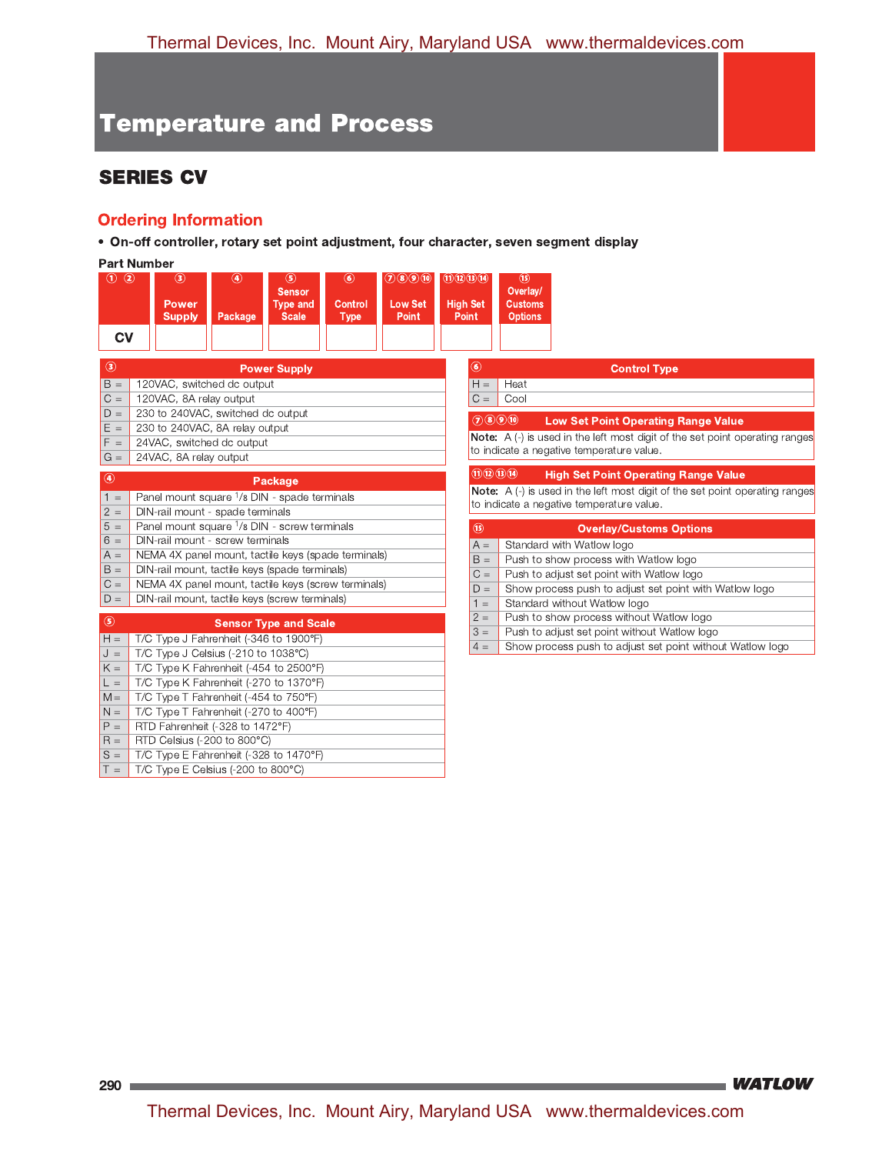# **SERIES CV**

# **Ordering Information**

• On-off controller, rotary set point adjustment, four character, seven segment display

|                 | <b>Part Number</b>                                       |              |                                                         |                                         |                                          |                                                                                     |                                                                                                                           |  |  |  |  |  |
|-----------------|----------------------------------------------------------|--------------|---------------------------------------------------------|-----------------------------------------|------------------------------------------|-------------------------------------------------------------------------------------|---------------------------------------------------------------------------------------------------------------------------|--|--|--|--|--|
| $\odot$ $\odot$ | $\circledcirc$<br><b>Power</b><br><b>Supply</b>          | ◉<br>Package | (5)<br><b>Sensor</b><br><b>Type and</b><br><b>Scale</b> | $\circledast$<br>Control<br><b>Type</b> | (7)(8)(9)(10)<br><b>Low Set</b><br>Point | (1)(2)(3)(14)<br><b>High Set</b><br><b>Point</b>                                    | (15)<br>Overlay/<br><b>Customs</b><br><b>Options</b>                                                                      |  |  |  |  |  |
| <b>CV</b>       |                                                          |              |                                                         |                                         |                                          |                                                                                     |                                                                                                                           |  |  |  |  |  |
| $\circledcirc$  |                                                          |              | <b>Power Supply</b>                                     |                                         |                                          | $\circledast$                                                                       | <b>Control Type</b>                                                                                                       |  |  |  |  |  |
| $B =$           | 120VAC, switched dc output                               |              |                                                         |                                         |                                          | $H =$                                                                               | Heat                                                                                                                      |  |  |  |  |  |
| $C =$           | 120VAC, 8A relay output                                  |              |                                                         |                                         |                                          | $C =$                                                                               | Cool                                                                                                                      |  |  |  |  |  |
| $D =$           | 230 to 240VAC, switched dc output                        |              |                                                         |                                         |                                          |                                                                                     |                                                                                                                           |  |  |  |  |  |
| $E =$           | 230 to 240VAC, 8A relay output                           |              |                                                         |                                         |                                          |                                                                                     | $(2)$ $(8)$ $(9)$ $(0)$<br><b>Low Set Point Operating Range Value</b>                                                     |  |  |  |  |  |
| $F =$           | 24VAC, switched dc output                                |              |                                                         |                                         |                                          |                                                                                     | Note: A (-) is used in the left most digit of the set point operating ranges<br>to indicate a negative temperature value. |  |  |  |  |  |
| $G =$           | 24VAC, 8A relay output                                   |              |                                                         |                                         |                                          |                                                                                     |                                                                                                                           |  |  |  |  |  |
| $^{\circ}$      |                                                          |              | Package                                                 |                                         |                                          |                                                                                     | $\Pi$ $\Omega$ $\Pi$ $\Pi$<br><b>High Set Point Operating Range Value</b>                                                 |  |  |  |  |  |
| $1 =$           | Panel mount square <sup>1</sup> /8 DIN - spade terminals |              |                                                         |                                         |                                          | <b>Note:</b> A (-) is used in the left most digit of the set point operating ranges |                                                                                                                           |  |  |  |  |  |
| $2 =$           | DIN-rail mount - spade terminals                         |              |                                                         |                                         |                                          |                                                                                     | to indicate a negative temperature value.                                                                                 |  |  |  |  |  |
| $5 =$           | Panel mount square 1/8 DIN - screw terminals             |              |                                                         |                                         |                                          | $\circledcirc$                                                                      | <b>Overlay/Customs Options</b>                                                                                            |  |  |  |  |  |
| $6 =$           | DIN-rail mount - screw terminals                         |              |                                                         |                                         |                                          | $A =$                                                                               | Standard with Watlow logo                                                                                                 |  |  |  |  |  |
| $A =$           | NEMA 4X panel mount, tactile keys (spade terminals)      |              |                                                         |                                         |                                          | $B =$                                                                               | Push to show process with Watlow logo                                                                                     |  |  |  |  |  |
| $B =$           | DIN-rail mount, tactile keys (spade terminals)           |              |                                                         |                                         |                                          | $C =$                                                                               | Push to adjust set point with Watlow logo                                                                                 |  |  |  |  |  |
| $C =$           | NEMA 4X panel mount, tactile keys (screw terminals)      |              |                                                         |                                         |                                          | $D =$                                                                               | Show process push to adjust set point with Watlow logo                                                                    |  |  |  |  |  |
| $D =$           | DIN-rail mount, tactile keys (screw terminals)           |              |                                                         |                                         |                                          | $1 =$                                                                               | Standard without Watlow logo                                                                                              |  |  |  |  |  |
| $\circledS$     |                                                          |              | <b>Sensor Type and Scale</b>                            |                                         |                                          | $2 =$                                                                               | Push to show process without Watlow logo                                                                                  |  |  |  |  |  |
| $H =$           | T/C Type J Fahrenheit (-346 to 1900°F)                   |              |                                                         |                                         |                                          | $3 =$                                                                               | Push to adjust set point without Watlow logo                                                                              |  |  |  |  |  |
| $J =$           | T/C Type J Celsius (-210 to 1038°C)                      |              |                                                         |                                         |                                          | $4 =$                                                                               | Show process push to adjust set point without Watlow logo                                                                 |  |  |  |  |  |
| $K =$           | T/C Type K Fahrenheit (-454 to 2500°F)                   |              |                                                         |                                         |                                          |                                                                                     |                                                                                                                           |  |  |  |  |  |
| $L =$           | T/C Type K Fahrenheit (-270 to 1370°F)                   |              |                                                         |                                         |                                          |                                                                                     |                                                                                                                           |  |  |  |  |  |
| $M =$           | T/C Type T Fahrenheit (-454 to 750°F)                    |              |                                                         |                                         |                                          |                                                                                     |                                                                                                                           |  |  |  |  |  |
| $N =$           | T/C Type T Fahrenheit (-270 to 400°F)                    |              |                                                         |                                         |                                          |                                                                                     |                                                                                                                           |  |  |  |  |  |
| $P =$           | RTD Fahrenheit (-328 to 1472°F)                          |              |                                                         |                                         |                                          |                                                                                     |                                                                                                                           |  |  |  |  |  |
| $R =$           | RTD Celsius (-200 to 800°C)                              |              |                                                         |                                         |                                          |                                                                                     |                                                                                                                           |  |  |  |  |  |
| $S =$           | T/C Type E Fahrenheit (-328 to 1470°F)                   |              |                                                         |                                         |                                          |                                                                                     |                                                                                                                           |  |  |  |  |  |
| $T =$           | T/C Type E Celsius (-200 to 800°C)                       |              |                                                         |                                         |                                          |                                                                                     |                                                                                                                           |  |  |  |  |  |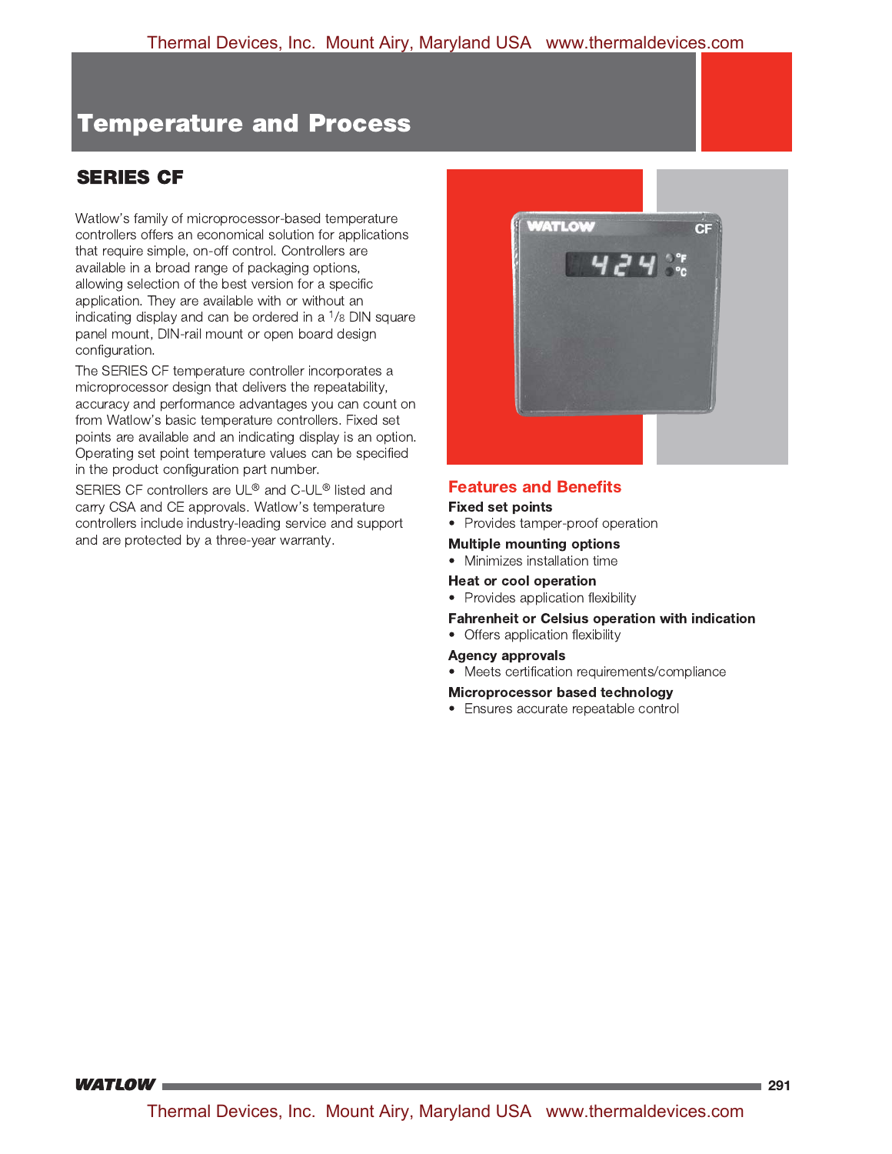# **SERIES CF**

Watlow's family of microprocessor-based temperature controllers offers an economical solution for applications that require simple, on-off control. Controllers are available in a broad range of packaging options, allowing selection of the best version for a specific application. They are available with or without an indicating display and can be ordered in a  $\frac{1}{8}$  DIN square panel mount, DIN-rail mount or open board design configuration.

The SERIES CF temperature controller incorporates a microprocessor design that delivers the repeatability, accuracy and performance advantages you can count on from Watlow's basic temperature controllers. Fixed set points are available and an indicating display is an option. Operating set point temperature values can be specified in the product configuration part number.

SERIES CF controllers are UL® and C-UL® listed and carry CSA and CE approvals. Watlow's temperature controllers include industry-leading service and support and are protected by a three-year warranty.



## **Features and Benefits**

#### **Fixed set points**

• Provides tamper-proof operation

#### **Multiple mounting options**

• Minimizes installation time

#### **Heat or cool operation**

- Provides application flexibility
- Fahrenheit or Celsius operation with indication
- Offers application flexibility

#### **Agency approvals**

• Meets certification requirements/compliance

#### Microprocessor based technology

• Ensures accurate repeatable control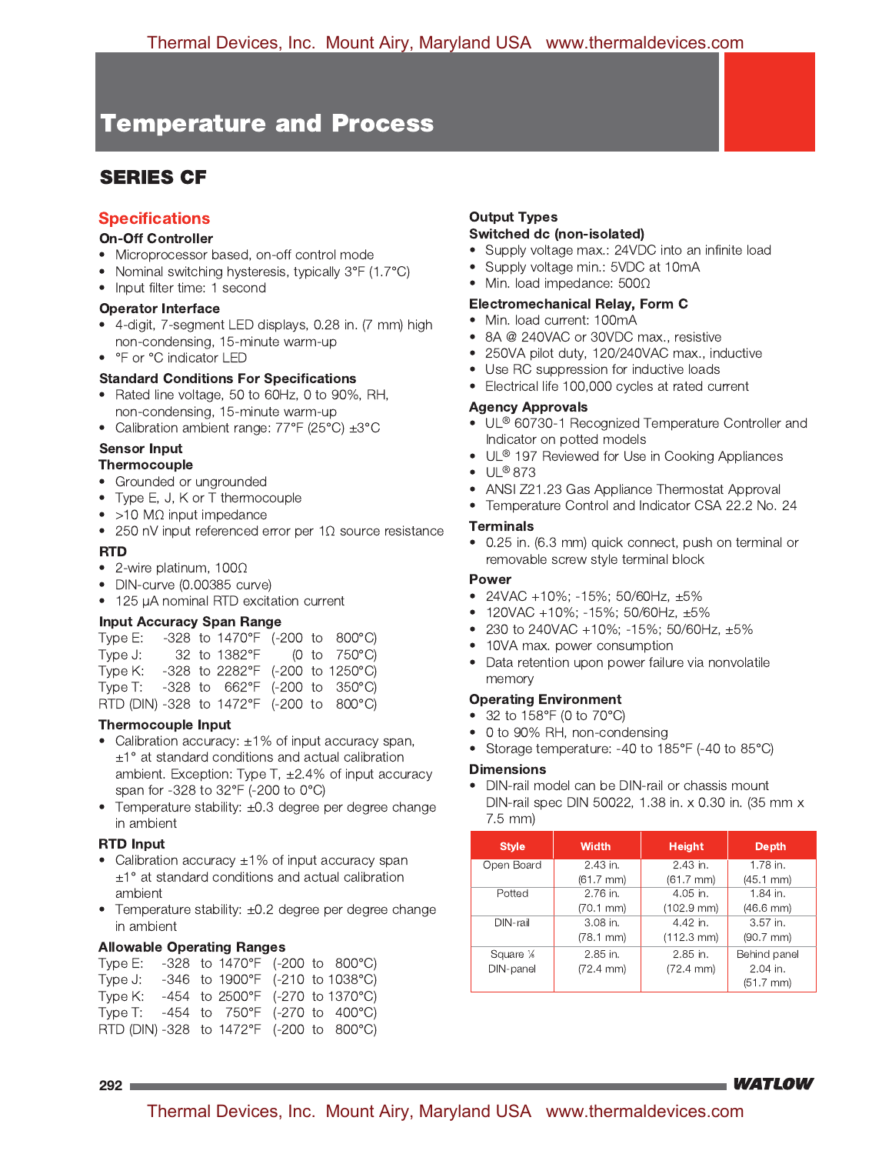# **SERIES CF**

## **Specifications**

### **On-Off Controller**

- Microprocessor based, on-off control mode
- Nominal switching hysteresis, typically 3°F (1.7°C)
- Input filter time: 1 second

#### **Operator Interface**

- 4-digit, 7-segment LED displays, 0.28 in. (7 mm) high non-condensing, 15-minute warm-up
- °F or °C indicator LED

#### **Standard Conditions For Specifications**

- Rated line voltage, 50 to 60Hz, 0 to 90%, RH, non-condensing, 15-minute warm-up
- Calibration ambient range:  $77^{\circ}F$  (25 $^{\circ}C$ )  $\pm 3^{\circ}C$

## **Sensor Input**

### Thermocouple

- Grounded or ungrounded
- Type E, J, K or T thermocouple
- $\bullet$  >10 M $\Omega$  input impedance
- 250 nV input referenced error per 1 $\Omega$  source resistance

### **RTD**

- 2-wire platinum,  $100\Omega$
- DIN-curve (0.00385 curve)
- 125 µA nominal RTD excitation current

### **Input Accuracy Span Range**

| Type E:                                                               |  |                                 |  | -328 to 1470°F (-200 to 800°C)  |
|-----------------------------------------------------------------------|--|---------------------------------|--|---------------------------------|
| Type J:                                                               |  | 32 to 1382°F (0 to 750°C)       |  |                                 |
| Type K:                                                               |  |                                 |  | -328 to 2282°F (-200 to 1250°C) |
| Type T:                                                               |  | $-328$ to 662°F (-200 to 350°C) |  |                                 |
| $\overline{R}$ RTD (DIN) -328 to 1472°F (-200 to $\overline{R}$ 00°C) |  |                                 |  |                                 |

### **Thermocouple Input**

- Calibration accuracy:  $\pm 1\%$  of input accuracy span,  $\pm$ 1° at standard conditions and actual calibration ambient. Exception: Type T,  $\pm 2.4\%$  of input accuracy span for -328 to 32°F (-200 to 0°C)
- Temperature stability:  $\pm 0.3$  degree per degree change in ambient

### **RTD Input**

- Calibration accuracy  $\pm 1\%$  of input accuracy span  $\pm$ 1° at standard conditions and actual calibration ambient
- Temperature stability: ±0.2 degree per degree change in ambient

### **Allowable Operating Ranges**

| Type E:                                  |  |  | -328 to 1470°F (-200 to 800°C)  |
|------------------------------------------|--|--|---------------------------------|
| Type J:                                  |  |  | -346 to 1900°F (-210 to 1038°C) |
| Type K:                                  |  |  | -454 to 2500°F (-270 to 1370°C) |
| Type T:                                  |  |  | -454 to 750°F (-270 to 400°C)   |
| RTD (DIN) -328 to 1472°F (-200 to 800°C) |  |  |                                 |

# **Output Types**

### Switched dc (non-isolated)

- Supply voltage max.: 24VDC into an infinite load
- Supply voltage min.: 5VDC at 10mA
- Min. load impedance:  $500\Omega$

### Electromechanical Relay, Form C

- Min. load current: 100mA
- 8A @ 240VAC or 30VDC max., resistive
- 250VA pilot duty, 120/240VAC max., inductive
- Use RC suppression for inductive loads
- Electrical life 100,000 cycles at rated current

### **Agency Approvals**

- UL<sup>®</sup> 60730-1 Recognized Temperature Controller and Indicator on potted models
- UL<sup>®</sup> 197 Reviewed for Use in Cooking Appliances
- $\bullet$  UL®873
- ANSI Z21.23 Gas Appliance Thermostat Approval
- Temperature Control and Indicator CSA 22.2 No. 24

### **Terminals**

• 0.25 in. (6.3 mm) quick connect, push on terminal or removable screw style terminal block

### **Power**

- 24VAC +10%; -15%; 50/60Hz,  $\pm 5\%$
- 120VAC +10%; -15%; 50/60Hz,  $\pm 5\%$
- 230 to 240VAC +10%; -15%; 50/60Hz,  $\pm 5\%$
- 10VA max. power consumption
- Data retention upon power failure via nonvolatile memory

#### **Operating Environment**

- 32 to 158°F (0 to 70°C)
- 0 to 90% RH, non-condensing
- Storage temperature: -40 to 185°F (-40 to 85°C)

### **Dimensions**

DIN-rail model can be DIN-rail or chassis mount DIN-rail spec DIN 50022, 1.38 in. x 0.30 in. (35 mm x  $7.5$  mm)

| <b>Style</b>           | <b>Width</b>          | <b>Height</b>         | <b>Depth</b>        |
|------------------------|-----------------------|-----------------------|---------------------|
| Open Board             | 2.43 in.              | 2.43 in.              | 1.78 in.            |
|                        | (61.7 mm)             | $(61.7$ mm $)$        | $(45.1 \text{ mm})$ |
| Potted                 | 2.76 in.              | 4.05 in.              | 1.84 in.            |
|                        | $(70.1 \, \text{mm})$ | $(102.9$ mm $)$       | $(46.6$ mm $)$      |
| DIN-rail               | 3.08 in.              | 4.42 in.              | 3.57 in.            |
|                        | $(78.1 \text{ mm})$   | $(112.3 \text{ mm})$  | $(90.7$ mm $)$      |
| Square 1/ <sub>8</sub> | 2.85 in.              | 2.85 in.              | Behind panel        |
| DIN-panel              | $(72.4 \text{ mm})$   | $(72.4 \, \text{mm})$ | 2.04 in.            |
|                        |                       |                       | $(51.7$ mm $)$      |